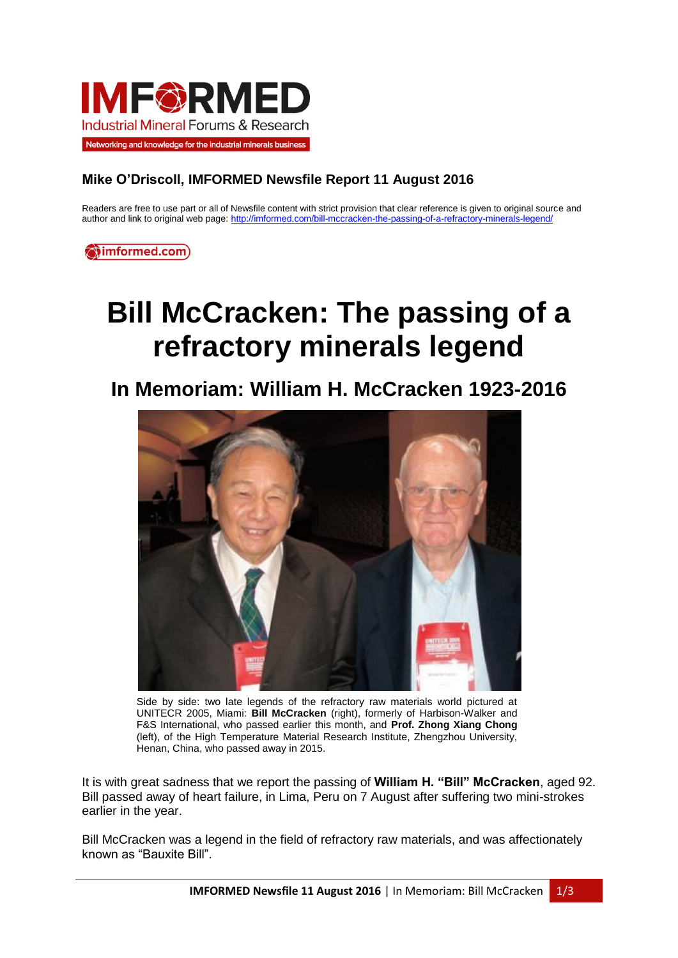

## **Mike O'Driscoll, IMFORMED Newsfile Report 11 August 2016**

Readers are free to use part or all of Newsfile content with strict provision that clear reference is given to original source and author and link to original web page[: http://imformed.com/bill-mccracken-the-passing-of-a-refractory-minerals-legend/](http://imformed.com/bill-mccracken-the-passing-of-a-refractory-minerals-legend/)

**O**imformed.com)

## **Bill McCracken: The passing of a refractory minerals legend**

**In Memoriam: William H. McCracken 1923-2016**



Side by side: two late legends of the refractory raw materials world pictured at UNITECR 2005, Miami: **Bill McCracken** (right), formerly of Harbison-Walker and F&S International, who passed earlier this month, and **Prof. Zhong Xiang Chong** (left), of the High Temperature Material Research Institute, Zhengzhou University, Henan, China, who passed away in 2015.

It is with great sadness that we report the passing of **William H. "Bill" McCracken**, aged 92. Bill passed away of heart failure, in Lima, Peru on 7 August after suffering two mini-strokes earlier in the year.

Bill McCracken was a legend in the field of refractory raw materials, and was affectionately known as "Bauxite Bill".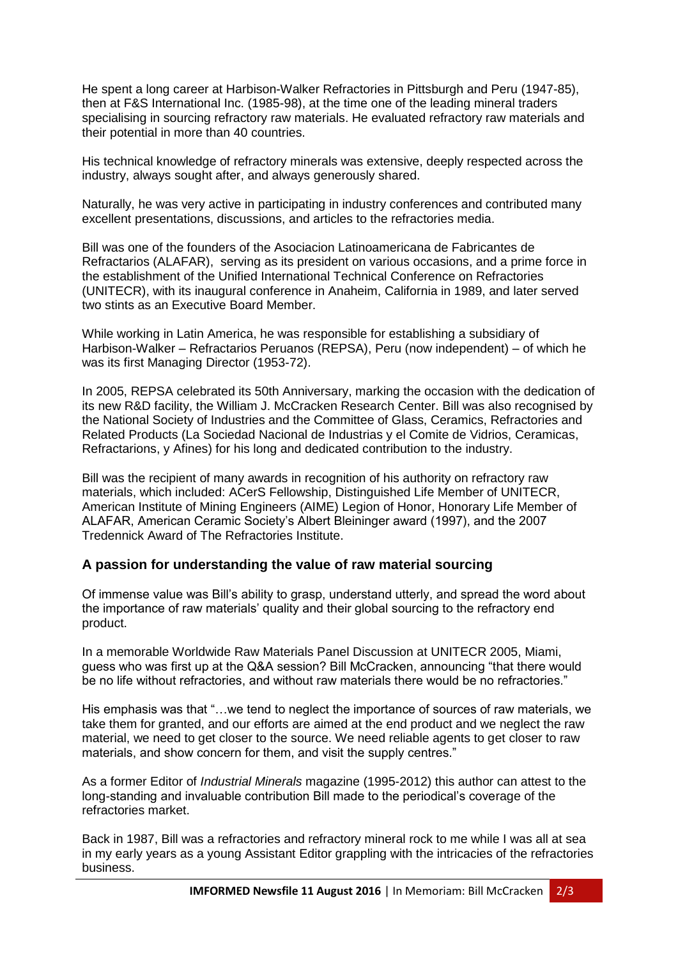He spent a long career at Harbison-Walker Refractories in Pittsburgh and Peru (1947-85), then at F&S International Inc. (1985-98), at the time one of the leading mineral traders specialising in sourcing refractory raw materials. He evaluated refractory raw materials and their potential in more than 40 countries.

His technical knowledge of refractory minerals was extensive, deeply respected across the industry, always sought after, and always generously shared.

Naturally, he was very active in participating in industry conferences and contributed many excellent presentations, discussions, and articles to the refractories media.

Bill was one of the founders of the Asociacion Latinoamericana de Fabricantes de Refractarios (ALAFAR), serving as its president on various occasions, and a prime force in the establishment of the Unified International Technical Conference on Refractories (UNITECR), with its inaugural conference in Anaheim, California in 1989, and later served two stints as an Executive Board Member.

While working in Latin America, he was responsible for establishing a subsidiary of Harbison-Walker – Refractarios Peruanos (REPSA), Peru (now independent) – of which he was its first Managing Director (1953-72).

In 2005, REPSA celebrated its 50th Anniversary, marking the occasion with the dedication of its new R&D facility, the William J. McCracken Research Center. Bill was also recognised by the National Society of Industries and the Committee of Glass, Ceramics, Refractories and Related Products (La Sociedad Nacional de Industrias y el Comite de Vidrios, Ceramicas, Refractarions, y Afines) for his long and dedicated contribution to the industry.

Bill was the recipient of many awards in recognition of his authority on refractory raw materials, which included: ACerS Fellowship, Distinguished Life Member of UNITECR, American Institute of Mining Engineers (AIME) Legion of Honor, Honorary Life Member of ALAFAR, American Ceramic Society's Albert Bleininger award (1997), and the 2007 Tredennick Award of The Refractories Institute.

## **A passion for understanding the value of raw material sourcing**

Of immense value was Bill's ability to grasp, understand utterly, and spread the word about the importance of raw materials' quality and their global sourcing to the refractory end product.

In a memorable Worldwide Raw Materials Panel Discussion at UNITECR 2005, Miami, guess who was first up at the Q&A session? Bill McCracken, announcing "that there would be no life without refractories, and without raw materials there would be no refractories."

His emphasis was that "…we tend to neglect the importance of sources of raw materials, we take them for granted, and our efforts are aimed at the end product and we neglect the raw material, we need to get closer to the source. We need reliable agents to get closer to raw materials, and show concern for them, and visit the supply centres."

As a former Editor of *Industrial Minerals* magazine (1995-2012) this author can attest to the long-standing and invaluable contribution Bill made to the periodical's coverage of the refractories market.

Back in 1987, Bill was a refractories and refractory mineral rock to me while I was all at sea in my early years as a young Assistant Editor grappling with the intricacies of the refractories business.